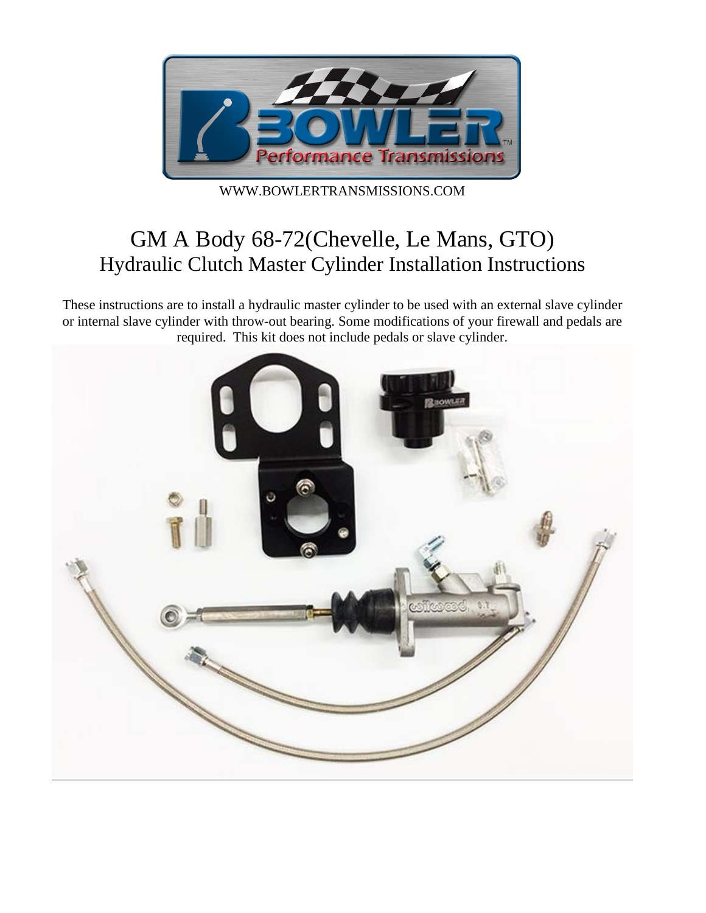

WWW.BOWLERTRANSMISSIONS.COM

# GM A Body 68-72(Chevelle, Le Mans, GTO) Hydraulic Clutch Master Cylinder Installation Instructions

These instructions are to install a hydraulic master cylinder to be used with an external slave cylinder or internal slave cylinder with throw-out bearing. Some modifications of your firewall and pedals are required. This kit does not include pedals or slave cylinder.

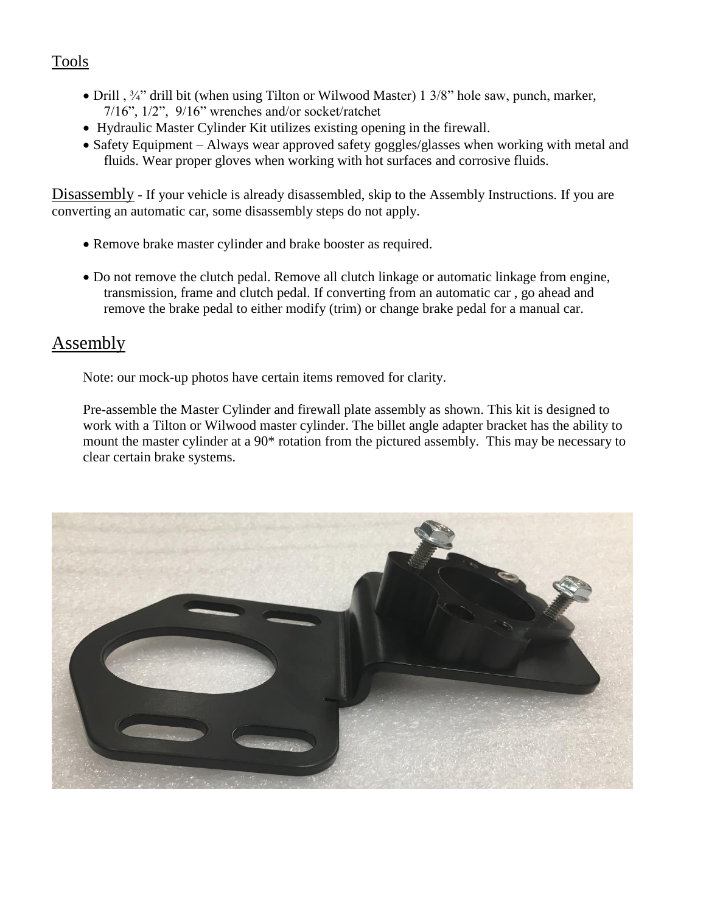### Tools

- Drill ,  $\frac{3}{4}$ " drill bit (when using Tilton or Wilwood Master) 1 3/8" hole saw, punch, marker, 7/16", 1/2", 9/16" wrenches and/or socket/ratchet
- Hydraulic Master Cylinder Kit utilizes existing opening in the firewall.
- Safety Equipment Always wear approved safety goggles/glasses when working with metal and fluids. Wear proper gloves when working with hot surfaces and corrosive fluids.

Disassembly - If your vehicle is already disassembled, skip to the Assembly Instructions. If you are converting an automatic car, some disassembly steps do not apply.

- Remove brake master cylinder and brake booster as required.
- Do not remove the clutch pedal. Remove all clutch linkage or automatic linkage from engine, transmission, frame and clutch pedal. If converting from an automatic car , go ahead and remove the brake pedal to either modify (trim) or change brake pedal for a manual car.

### Assembly

Note: our mock-up photos have certain items removed for clarity.

Pre-assemble the Master Cylinder and firewall plate assembly as shown. This kit is designed to work with a Tilton or Wilwood master cylinder. The billet angle adapter bracket has the ability to mount the master cylinder at a 90\* rotation from the pictured assembly. This may be necessary to clear certain brake systems.

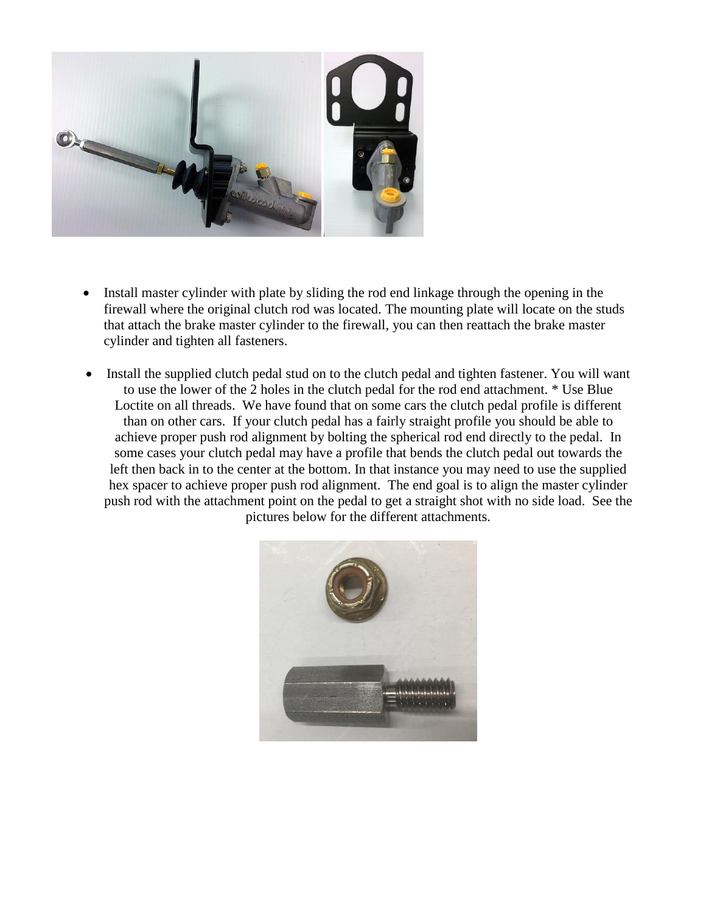

- Install master cylinder with plate by sliding the rod end linkage through the opening in the firewall where the original clutch rod was located. The mounting plate will locate on the studs that attach the brake master cylinder to the firewall, you can then reattach the brake master cylinder and tighten all fasteners.
- Install the supplied clutch pedal stud on to the clutch pedal and tighten fastener. You will want to use the lower of the 2 holes in the clutch pedal for the rod end attachment. \* Use Blue Loctite on all threads. We have found that on some cars the clutch pedal profile is different than on other cars. If your clutch pedal has a fairly straight profile you should be able to achieve proper push rod alignment by bolting the spherical rod end directly to the pedal. In some cases your clutch pedal may have a profile that bends the clutch pedal out towards the left then back in to the center at the bottom. In that instance you may need to use the supplied hex spacer to achieve proper push rod alignment. The end goal is to align the master cylinder push rod with the attachment point on the pedal to get a straight shot with no side load. See the pictures below for the different attachments.

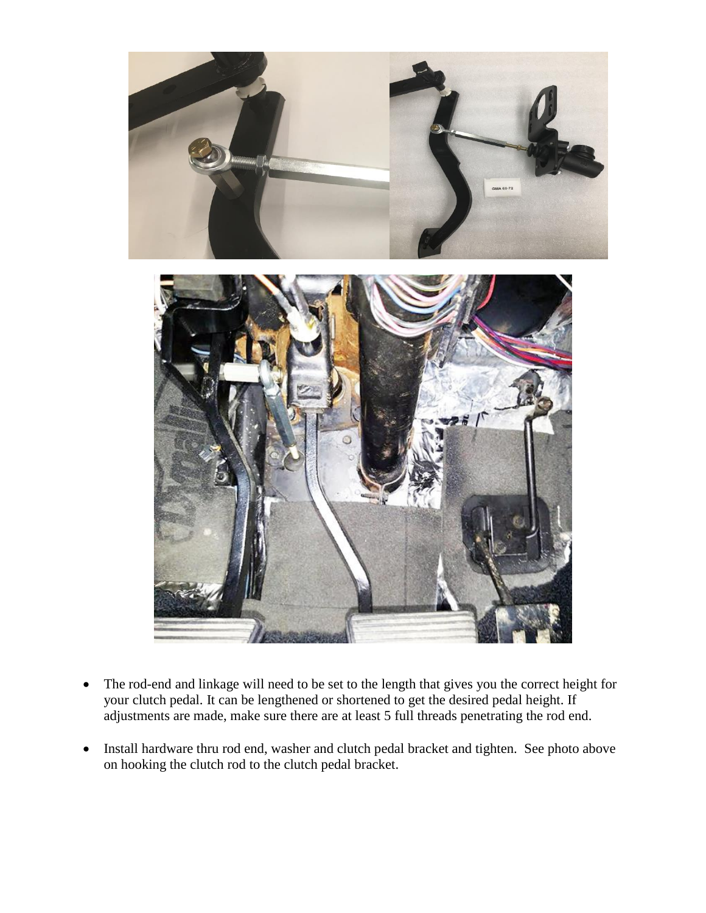

- The rod-end and linkage will need to be set to the length that gives you the correct height for your clutch pedal. It can be lengthened or shortened to get the desired pedal height. If adjustments are made, make sure there are at least 5 full threads penetrating the rod end.
- Install hardware thru rod end, washer and clutch pedal bracket and tighten. See photo above on hooking the clutch rod to the clutch pedal bracket.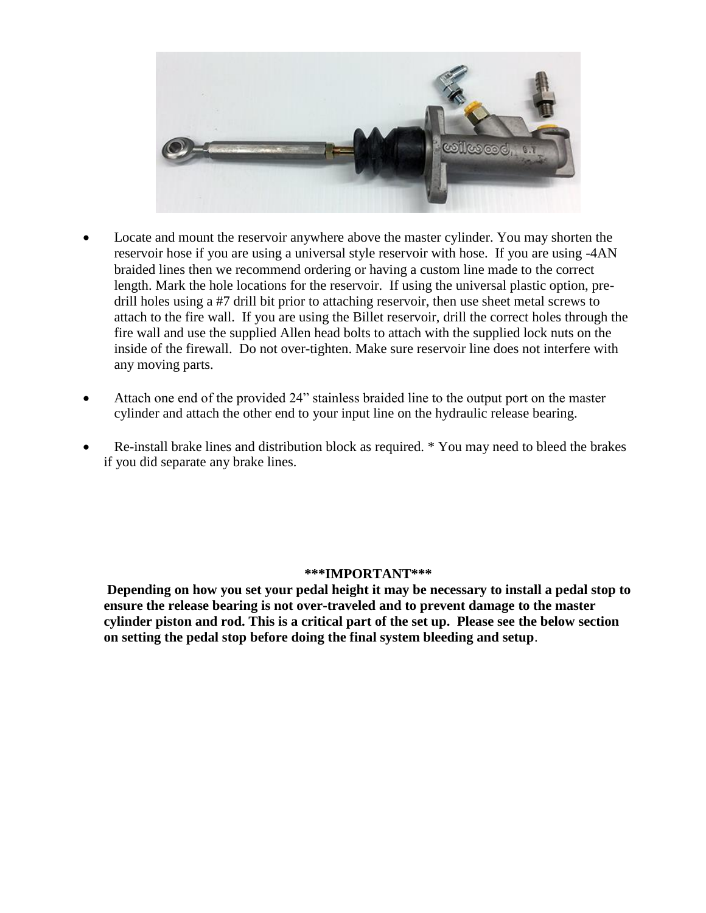

- Locate and mount the reservoir anywhere above the master cylinder. You may shorten the reservoir hose if you are using a universal style reservoir with hose. If you are using -4AN braided lines then we recommend ordering or having a custom line made to the correct length. Mark the hole locations for the reservoir. If using the universal plastic option, predrill holes using a #7 drill bit prior to attaching reservoir, then use sheet metal screws to attach to the fire wall. If you are using the Billet reservoir, drill the correct holes through the fire wall and use the supplied Allen head bolts to attach with the supplied lock nuts on the inside of the firewall. Do not over-tighten. Make sure reservoir line does not interfere with any moving parts.
- Attach one end of the provided 24" stainless braided line to the output port on the master cylinder and attach the other end to your input line on the hydraulic release bearing.
- Re-install brake lines and distribution block as required. \* You may need to bleed the brakes if you did separate any brake lines.

#### **\*\*\*IMPORTANT\*\*\***

**Depending on how you set your pedal height it may be necessary to install a pedal stop to ensure the release bearing is not over-traveled and to prevent damage to the master cylinder piston and rod. This is a critical part of the set up. Please see the below section on setting the pedal stop before doing the final system bleeding and setup**.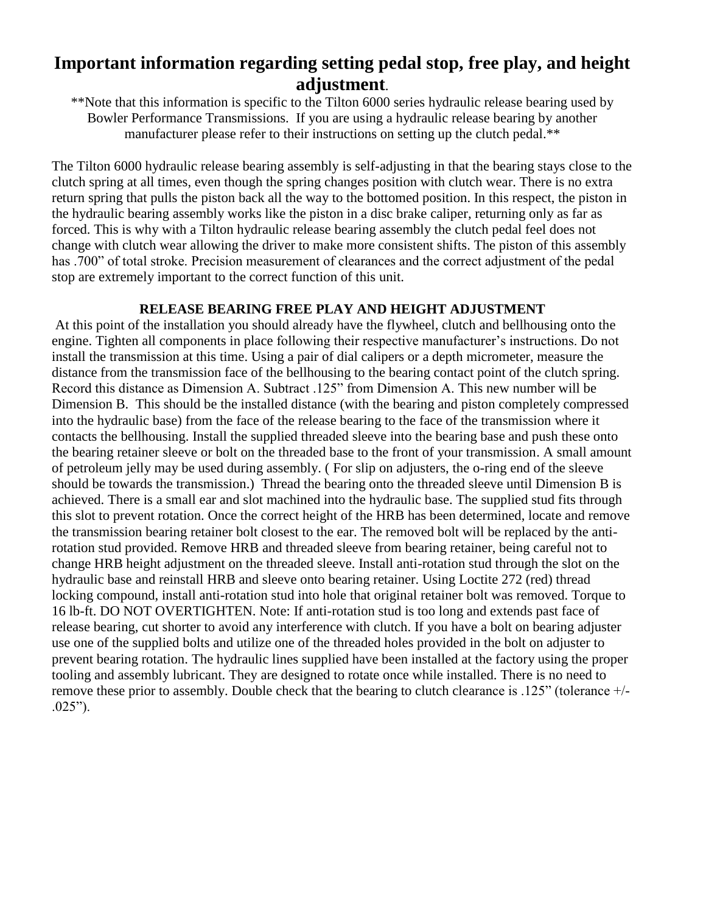## **Important information regarding setting pedal stop, free play, and height adjustment**.

\*\*Note that this information is specific to the Tilton 6000 series hydraulic release bearing used by Bowler Performance Transmissions. If you are using a hydraulic release bearing by another manufacturer please refer to their instructions on setting up the clutch pedal.<sup>\*\*</sup>

The Tilton 6000 hydraulic release bearing assembly is self-adjusting in that the bearing stays close to the clutch spring at all times, even though the spring changes position with clutch wear. There is no extra return spring that pulls the piston back all the way to the bottomed position. In this respect, the piston in the hydraulic bearing assembly works like the piston in a disc brake caliper, returning only as far as forced. This is why with a Tilton hydraulic release bearing assembly the clutch pedal feel does not change with clutch wear allowing the driver to make more consistent shifts. The piston of this assembly has .700" of total stroke. Precision measurement of clearances and the correct adjustment of the pedal stop are extremely important to the correct function of this unit.

#### **RELEASE BEARING FREE PLAY AND HEIGHT ADJUSTMENT**

At this point of the installation you should already have the flywheel, clutch and bellhousing onto the engine. Tighten all components in place following their respective manufacturer's instructions. Do not install the transmission at this time. Using a pair of dial calipers or a depth micrometer, measure the distance from the transmission face of the bellhousing to the bearing contact point of the clutch spring. Record this distance as Dimension A. Subtract .125" from Dimension A. This new number will be Dimension B. This should be the installed distance (with the bearing and piston completely compressed into the hydraulic base) from the face of the release bearing to the face of the transmission where it contacts the bellhousing. Install the supplied threaded sleeve into the bearing base and push these onto the bearing retainer sleeve or bolt on the threaded base to the front of your transmission. A small amount of petroleum jelly may be used during assembly. ( For slip on adjusters, the o-ring end of the sleeve should be towards the transmission.) Thread the bearing onto the threaded sleeve until Dimension B is achieved. There is a small ear and slot machined into the hydraulic base. The supplied stud fits through this slot to prevent rotation. Once the correct height of the HRB has been determined, locate and remove the transmission bearing retainer bolt closest to the ear. The removed bolt will be replaced by the antirotation stud provided. Remove HRB and threaded sleeve from bearing retainer, being careful not to change HRB height adjustment on the threaded sleeve. Install anti-rotation stud through the slot on the hydraulic base and reinstall HRB and sleeve onto bearing retainer. Using Loctite 272 (red) thread locking compound, install anti-rotation stud into hole that original retainer bolt was removed. Torque to 16 lb-ft. DO NOT OVERTIGHTEN. Note: If anti-rotation stud is too long and extends past face of release bearing, cut shorter to avoid any interference with clutch. If you have a bolt on bearing adjuster use one of the supplied bolts and utilize one of the threaded holes provided in the bolt on adjuster to prevent bearing rotation. The hydraulic lines supplied have been installed at the factory using the proper tooling and assembly lubricant. They are designed to rotate once while installed. There is no need to remove these prior to assembly. Double check that the bearing to clutch clearance is .125" (tolerance +/- .025").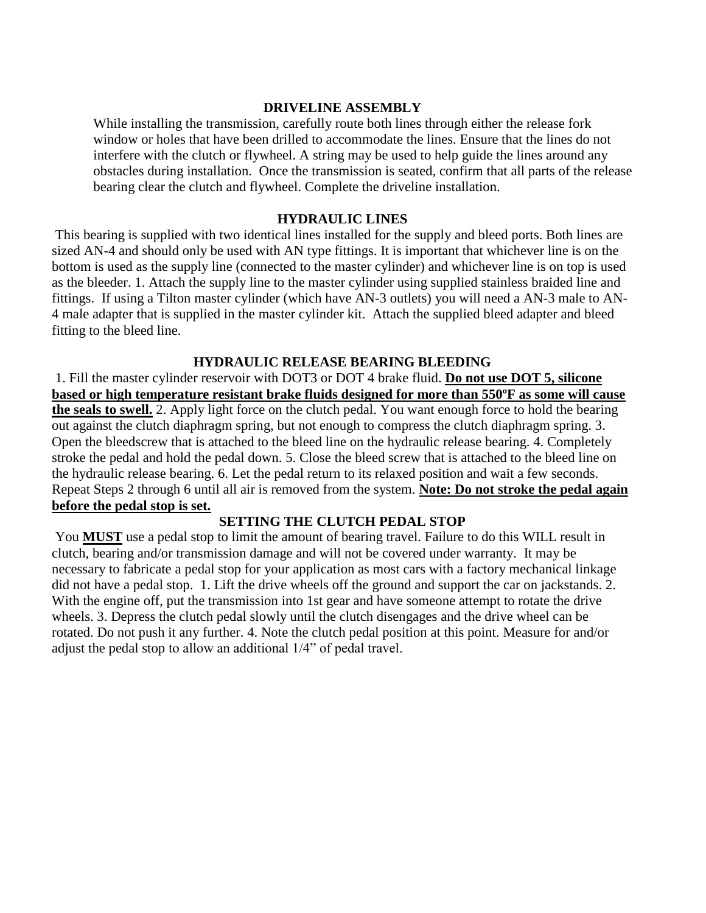#### **DRIVELINE ASSEMBLY**

While installing the transmission, carefully route both lines through either the release fork window or holes that have been drilled to accommodate the lines. Ensure that the lines do not interfere with the clutch or flywheel. A string may be used to help guide the lines around any obstacles during installation. Once the transmission is seated, confirm that all parts of the release bearing clear the clutch and flywheel. Complete the driveline installation.

#### **HYDRAULIC LINES**

This bearing is supplied with two identical lines installed for the supply and bleed ports. Both lines are sized AN-4 and should only be used with AN type fittings. It is important that whichever line is on the bottom is used as the supply line (connected to the master cylinder) and whichever line is on top is used as the bleeder. 1. Attach the supply line to the master cylinder using supplied stainless braided line and fittings. If using a Tilton master cylinder (which have AN-3 outlets) you will need a AN-3 male to AN-4 male adapter that is supplied in the master cylinder kit. Attach the supplied bleed adapter and bleed fitting to the bleed line.

#### **HYDRAULIC RELEASE BEARING BLEEDING**

1. Fill the master cylinder reservoir with DOT3 or DOT 4 brake fluid. **Do not use DOT 5, silicone based or high temperature resistant brake fluids designed for more than 550ºF as some will cause the seals to swell.** 2. Apply light force on the clutch pedal. You want enough force to hold the bearing out against the clutch diaphragm spring, but not enough to compress the clutch diaphragm spring. 3. Open the bleedscrew that is attached to the bleed line on the hydraulic release bearing. 4. Completely stroke the pedal and hold the pedal down. 5. Close the bleed screw that is attached to the bleed line on the hydraulic release bearing. 6. Let the pedal return to its relaxed position and wait a few seconds. Repeat Steps 2 through 6 until all air is removed from the system. **Note: Do not stroke the pedal again before the pedal stop is set.**

#### **SETTING THE CLUTCH PEDAL STOP**

You **MUST** use a pedal stop to limit the amount of bearing travel. Failure to do this WILL result in clutch, bearing and/or transmission damage and will not be covered under warranty. It may be necessary to fabricate a pedal stop for your application as most cars with a factory mechanical linkage did not have a pedal stop. 1. Lift the drive wheels off the ground and support the car on jackstands. 2. With the engine off, put the transmission into 1st gear and have someone attempt to rotate the drive wheels. 3. Depress the clutch pedal slowly until the clutch disengages and the drive wheel can be rotated. Do not push it any further. 4. Note the clutch pedal position at this point. Measure for and/or adjust the pedal stop to allow an additional 1/4" of pedal travel.